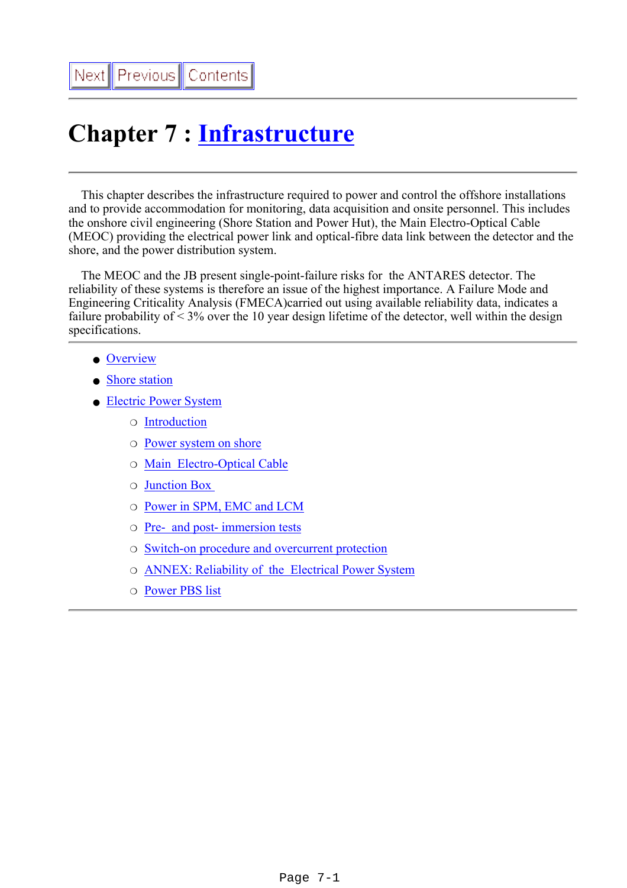# **Chapter 7 : [Infrastructure](file:///Z|/TDR/psfiles/Chap7_Infrastructure.pdf)**

 This chapter describes the infrastructure required to power and control the offshore installations and to provide accommodation for monitoring, data acquisition and onsite personnel. This includes the onshore civil engineering (Shore Station and Power Hut), the Main Electro-Optical Cable (MEOC) providing the electrical power link and optical-fibre data link between the detector and the shore, and the power distribution system.

 The MEOC and the JB present single-point-failure risks for the ANTARES detector. The reliability of these systems is therefore an issue of the highest importance. A Failure Mode and Engineering Criticality Analysis (FMECA)carried out using available reliability data, indicates a failure probability of  $\leq$  3% over the 10 year design lifetime of the detector, well within the design specifications.

- [Overview](#page-1-0)
- [Shore station](#page-2-0)
- [Electric Power System](#page-5-0)
	- ❍ [Introduction](#page-6-0)
	- ❍ [Power system on shore](#page-10-0)
	- ❍ [Main Electro-Optical Cable](#page-11-0)
	- ❍ [Junction Box](#page-13-0)
	- ❍ [Power in SPM, EMC and LCM](#page-16-0)
	- ❍ [Pre- and post- immersion tests](#page-17-0)
	- ❍ [Switch-on procedure and overcurrent protection](#page-18-0)
	- ❍ [ANNEX: Reliability of the Electrical Power System](#page-20-0)
	- ❍ [Power PBS list](#page-22-0)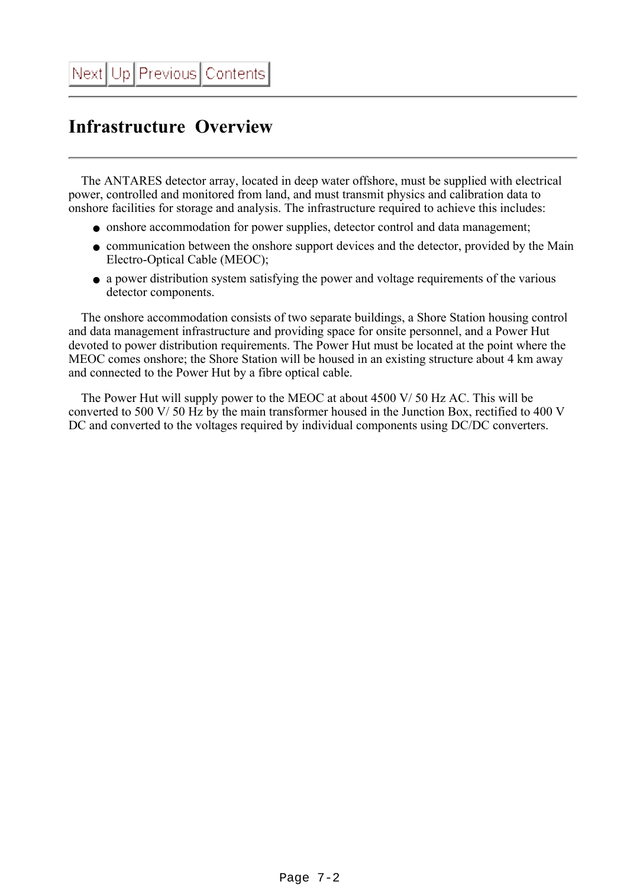# <span id="page-1-0"></span>**Infrastructure Overview**

 The ANTARES detector array, located in deep water offshore, must be supplied with electrical power, controlled and monitored from land, and must transmit physics and calibration data to onshore facilities for storage and analysis. The infrastructure required to achieve this includes:

- onshore accommodation for power supplies, detector control and data management;
- communication between the onshore support devices and the detector, provided by the Main Electro-Optical Cable (MEOC);
- a power distribution system satisfying the power and voltage requirements of the various detector components.

 The onshore accommodation consists of two separate buildings, a Shore Station housing control and data management infrastructure and providing space for onsite personnel, and a Power Hut devoted to power distribution requirements. The Power Hut must be located at the point where the MEOC comes onshore; the Shore Station will be housed in an existing structure about 4 km away and connected to the Power Hut by a fibre optical cable.

 The Power Hut will supply power to the MEOC at about 4500 V/ 50 Hz AC. This will be converted to 500 V/ 50 Hz by the main transformer housed in the Junction Box, rectified to 400 V DC and converted to the voltages required by individual components using DC/DC converters.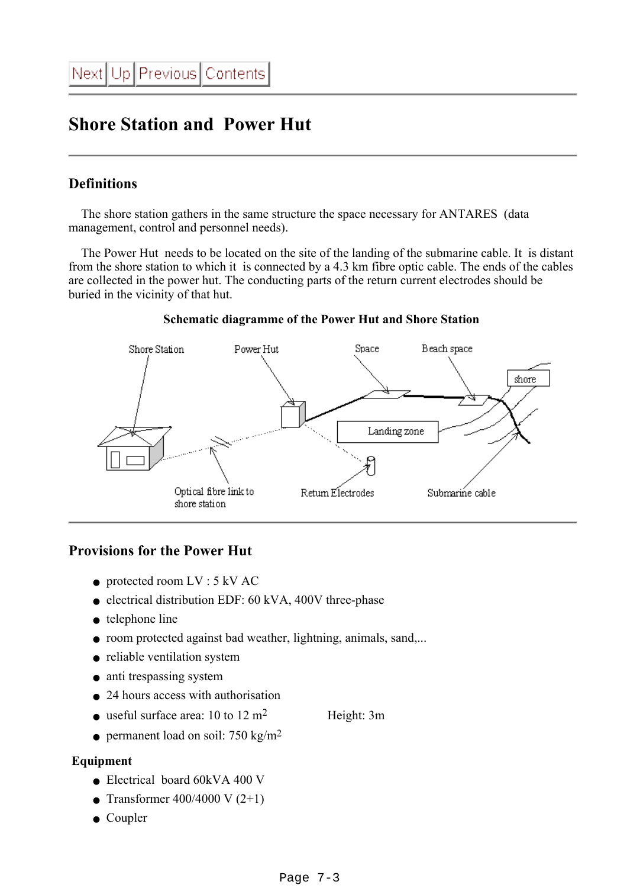## <span id="page-2-0"></span>**Shore Station and Power Hut**

### **Definitions**

 The shore station gathers in the same structure the space necessary for ANTARES (data management, control and personnel needs).

 The Power Hut needs to be located on the site of the landing of the submarine cable. It is distant from the shore station to which it is connected by a 4.3 km fibre optic cable. The ends of the cables are collected in the power hut. The conducting parts of the return current electrodes should be buried in the vicinity of that hut.



#### **Schematic diagramme of the Power Hut and Shore Station**

### **Provisions for the Power Hut**

- $\bullet$  protected room LV : 5 kV AC
- electrical distribution EDF: 60 kVA, 400V three-phase
- telephone line
- room protected against bad weather, lightning, animals, sand,...
- reliable ventilation system
- anti trespassing system
- 24 hours access with authorisation
- useful surface area:  $10$  to  $12 \text{ m}^2$  Height: 3m
- permanent load on soil: 750 kg/m<sup>2</sup>

#### **Equipment**

- Electrical board 60kVA 400 V
- Transformer 400/4000 V  $(2+1)$
- Coupler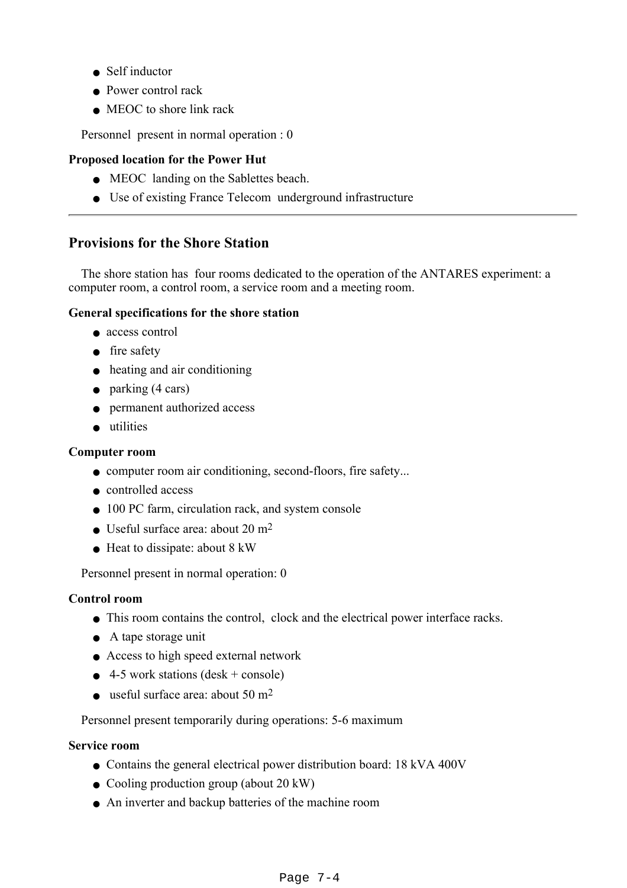- Self inductor
- Power control rack
- MEOC to shore link rack

Personnel present in normal operation : 0

#### **Proposed location for the Power Hut**

- MEOC landing on the Sablettes beach.
- Use of existing France Telecom underground infrastructure

### **Provisions for the Shore Station**

 The shore station has four rooms dedicated to the operation of the ANTARES experiment: a computer room, a control room, a service room and a meeting room.

#### **General specifications for the shore station**

- access control
- fire safety
- heating and air conditioning
- $\bullet$  parking (4 cars)
- permanent authorized access
- utilities

#### **Computer room**

- computer room air conditioning, second-floors, fire safety...
- controlled access
- 100 PC farm, circulation rack, and system console
- Useful surface area: about  $20 \text{ m}^2$
- Heat to dissipate: about 8 kW

Personnel present in normal operation: 0

#### **Control room**

- This room contains the control, clock and the electrical power interface racks.
- A tape storage unit
- Access to high speed external network
- $\bullet$  4-5 work stations (desk + console)
- useful surface area: about  $50 \text{ m}^2$

Personnel present temporarily during operations: 5-6 maximum

#### **Service room**

- Contains the general electrical power distribution board: 18 kVA 400V
- Cooling production group (about 20 kW)
- An inverter and backup batteries of the machine room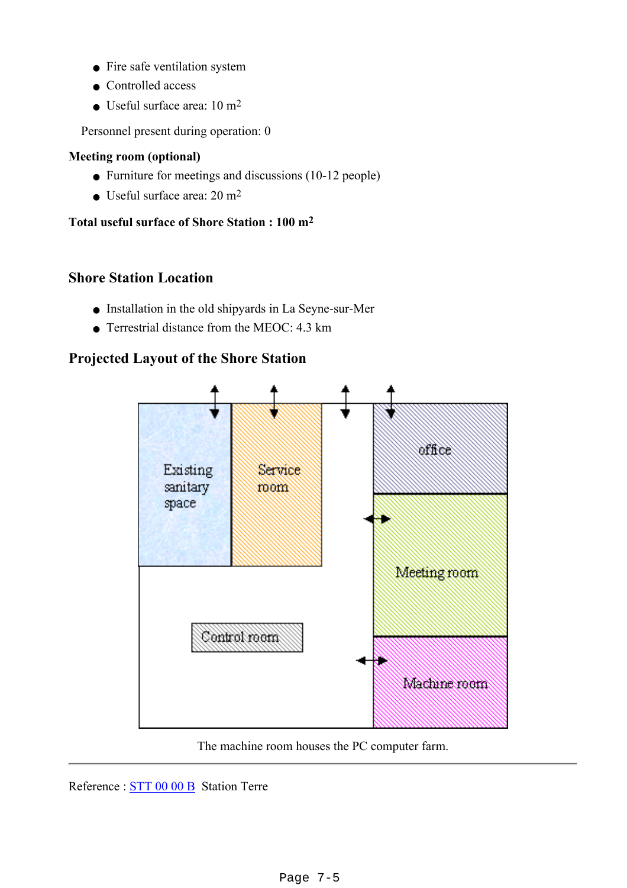- Fire safe ventilation system
- Controlled access
- $\bullet$  Useful surface area: 10 m<sup>2</sup>

Personnel present during operation: 0

#### **Meeting room (optional)**

- Furniture for meetings and discussions (10-12 people)
- Useful surface area:  $20 \text{ m}^2$

#### **Total useful surface of Shore Station : 100 m2**

### **Shore Station Location**

- Installation in the old shipyards in La Seyne-sur-Mer
- Terrestrial distance from the MEOC: 4.3 km

### **Projected Layout of the Shore Station**



The machine room houses the PC computer farm.

Reference : [STT 00 00 B](file:///Z|/TDR/documents/3STT_00_00B.pdf) Station Terre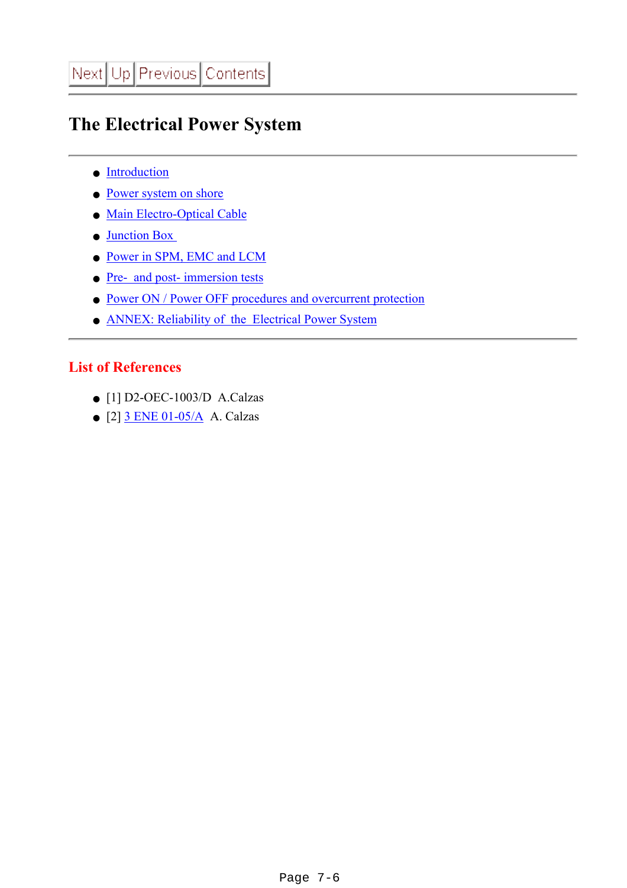# <span id="page-5-0"></span>**The Electrical Power System**

- [Introduction](#page-6-0)
- [Power system on shore](#page-10-0)
- [Main Electro-Optical Cable](#page-11-0)
- [Junction Box](#page-13-0)
- [Power in SPM, EMC and LCM](#page-16-0)
- [Pre- and post- immersion tests](#page-17-0)
- [Power ON / Power OFF procedures and overcurrent protection](#page-18-0)
- [ANNEX: Reliability of the Electrical Power System](#page-20-0)

### **List of References**

- $\bullet$  [1] D2-OEC-1003/D A.Calzas
- $\bullet$  [2]  $3$  ENE 01-05/A A. Calzas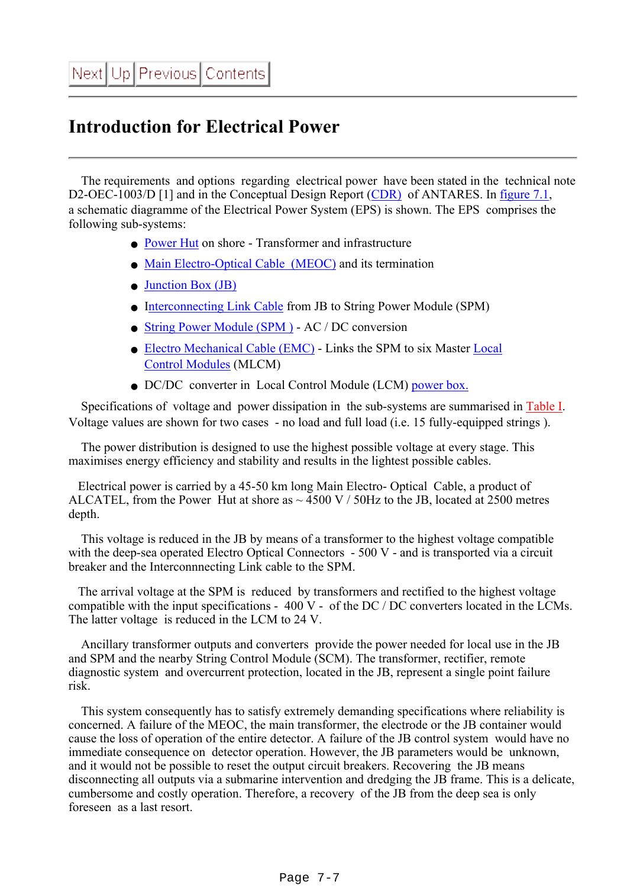# <span id="page-6-0"></span>**Introduction for Electrical Power**

 The requirements and options regarding electrical power have been stated in the technical note D2-OEC-1003/D [1] and in the Conceptual Design Report [\(CDR\)](file:///Z|/TDR/cdr.ps) of ANTARES. In [figure 7.1,](file:///Z|/TDR/Calzas/power1.gif) a schematic diagramme of the Electrical Power System (EPS) is shown. The EPS comprises the following sub-systems:

- [Power Hut](#page-2-0) on shore Transformer and infrastructure
- [Main Electro-Optical Cable \(MEOC\)](#page-11-0) and its termination
- [Junction Box \(JB\)](#page-13-0)
- I[nterconnecting Link Cable](file:///Z|/TDR/Mechanics/cables.html) from JB to String Power Module (SPM)
- String Power Module (SPM) AC / DC conversion
- [Electro Mechanical Cable \(EMC\)](file:///Z|/TDR/Mechanics/EMC.html)  Links the SPM to six Master [Local](file:///Z|/TDR/Olivetto/LCMobjects.html) [Control Modules](file:///Z|/TDR/Olivetto/LCMobjects.html) (MLCM)
- DC/DC converter in Local Control Module (LCM) [power box.](file:///Z|/TDR/Olivetto/power_box.html)

 Specifications of voltage and power dissipation in the sub-systems are summarised in [Table I.](#page-8-0) Voltage values are shown for two cases - no load and full load (i.e. 15 fully-equipped strings ).

 The power distribution is designed to use the highest possible voltage at every stage. This maximises energy efficiency and stability and results in the lightest possible cables.

 Electrical power is carried by a 45-50 km long Main Electro- Optical Cable, a product of ALCATEL, from the Power Hut at shore as  $\sim$  4500 V / 50Hz to the JB, located at 2500 metres depth.

 This voltage is reduced in the JB by means of a transformer to the highest voltage compatible with the deep-sea operated Electro Optical Connectors - 500 V - and is transported via a circuit breaker and the Interconnnecting Link cable to the SPM.

 The arrival voltage at the SPM is reduced by transformers and rectified to the highest voltage compatible with the input specifications -  $400 \text{ V}$  - of the DC / DC converters located in the LCMs. The latter voltage is reduced in the LCM to 24 V.

 Ancillary transformer outputs and converters provide the power needed for local use in the JB and SPM and the nearby String Control Module (SCM). The transformer, rectifier, remote diagnostic system and overcurrent protection, located in the JB, represent a single point failure risk.

 This system consequently has to satisfy extremely demanding specifications where reliability is concerned. A failure of the MEOC, the main transformer, the electrode or the JB container would cause the loss of operation of the entire detector. A failure of the JB control system would have no immediate consequence on detector operation. However, the JB parameters would be unknown, and it would not be possible to reset the output circuit breakers. Recovering the JB means disconnecting all outputs via a submarine intervention and dredging the JB frame. This is a delicate, cumbersome and costly operation. Therefore, a recovery of the JB from the deep sea is only foreseen as a last resort.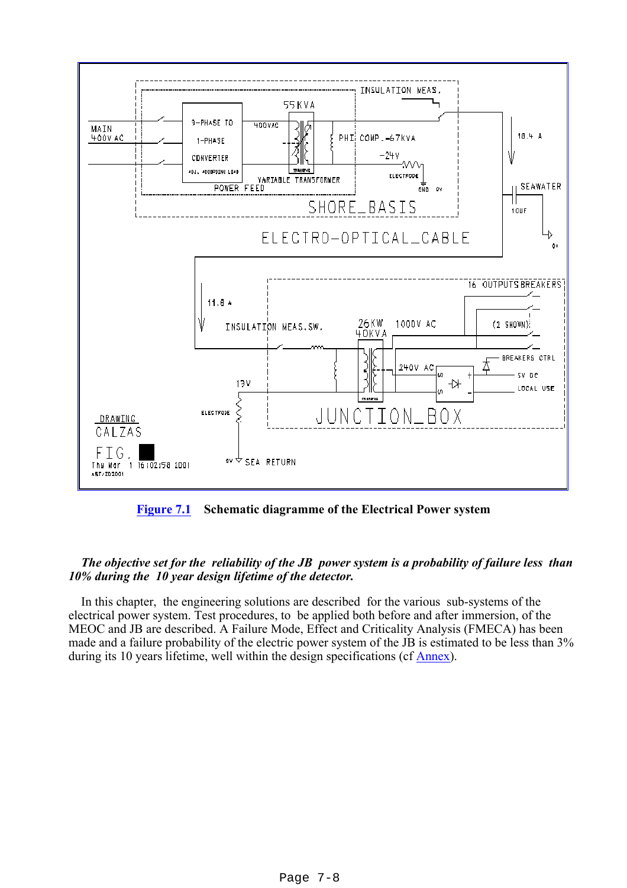

**[Figure 7.1](file:///Z|/TDR/Calzas/power1.gif) Schematic diagramme of the Electrical Power system**

#### *The objective set for the reliability of the JB power system is a probability of failure less than 10% during the 10 year design lifetime of the detector.*

 In this chapter, the engineering solutions are described for the various sub-systems of the electrical power system. Test procedures, to be applied both before and after immersion, of the MEOC and JB are described. A Failure Mode, Effect and Criticality Analysis (FMECA) has been made and a failure probability of the electric power system of the JB is estimated to be less than 3% during its 10 years lifetime, well within the design specifications (cf [Annex\)](#page-20-0).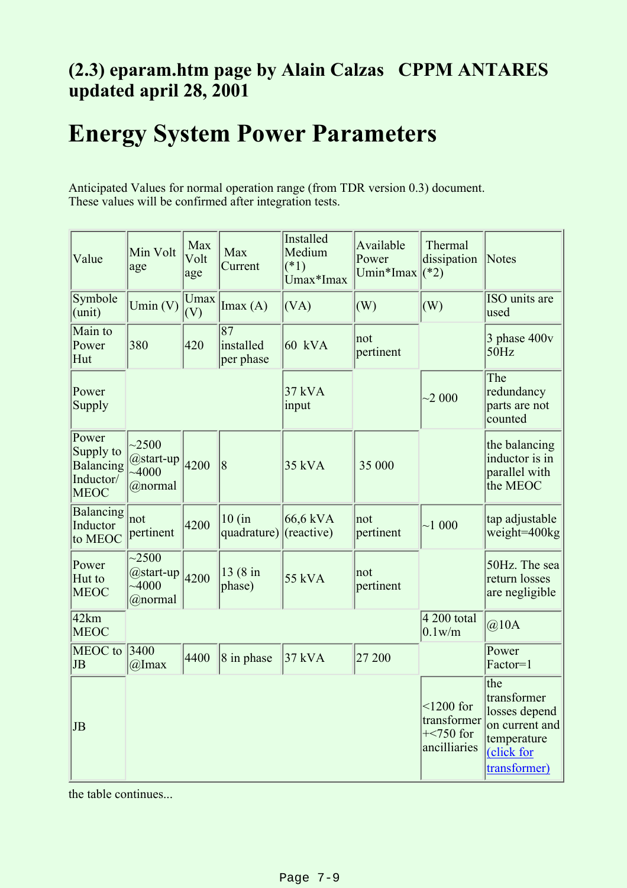# <span id="page-8-0"></span>**(2.3) eparam.htm page by Alain Calzas CPPM ANTARES updated april 28, 2001**

# **Energy System Power Parameters**

Anticipated Values for normal operation range (from TDR version 0.3) document. These values will be confirmed after integration tests.

| Value                                                       | Min Volt<br>age                                          | Max<br>Volt<br>age | Max<br>Current                            | <b>Installed</b><br>Medium<br>$(*1)$<br>Umax*Imax | Available<br>Power<br>Umin*Imax | Thermal<br>dissipation<br>$(*2)$                                  | Notes                                                                                              |
|-------------------------------------------------------------|----------------------------------------------------------|--------------------|-------------------------------------------|---------------------------------------------------|---------------------------------|-------------------------------------------------------------------|----------------------------------------------------------------------------------------------------|
| Symbole<br>(unit)                                           | Umin $(V)$                                               | Umax<br>(V)        | Imax(A)                                   | (VA)                                              | (W)                             | (W)                                                               | ISO units are<br>used                                                                              |
| Main to<br>Power<br>Hut                                     | 380                                                      | 420                | $\overline{87}$<br>installed<br>per phase | $60$ kVA                                          | not<br>pertinent                |                                                                   | $3$ phase $400v$<br>50Hz                                                                           |
| Power<br>Supply                                             |                                                          |                    |                                           | 37 kVA<br>input                                   |                                 | ~2000                                                             | The<br>redundancy<br>parts are not<br>counted                                                      |
| Power<br>Supply to<br>Balancing<br>Inductor/<br><b>MEOC</b> | $-2500$<br>@start-up<br>$-4000$<br>@normal               | 4200               | 8                                         | $35$ kVA                                          | 35 000                          |                                                                   | the balancing<br>inductor is in<br>parallel with<br>the MEOC                                       |
| Balancing<br>Inductor<br>to MEOC                            | not <br>pertinent                                        | 4200               | 10 (in<br>quadrature)                     | $66,6$ kVA<br>$ $ (reactive)                      | not<br>pertinent                | ~1000                                                             | tap adjustable<br>weight=400kg                                                                     |
| Power<br>Hut to<br><b>MEOC</b>                              | $\overline{2500}$<br>@start-up<br>$\sim 4000$<br>@normal | 4200               | 13 (8 in<br>phase)                        | 55 kVA                                            | not<br>pertinent                |                                                                   | 50Hz. The sea<br>return losses<br>are negligible                                                   |
| 42km<br><b>MEOC</b>                                         | $\overline{4\,200}$ total<br>@10A<br>$0.1$ w/m           |                    |                                           |                                                   |                                 |                                                                   |                                                                                                    |
| MEOC to<br>JB                                               | 3400<br>$@$ Imax                                         | 4400               | $\vert 8$ in phase                        | $37$ kVA                                          | 27 200                          |                                                                   | Power<br>Factor=1                                                                                  |
| JB                                                          |                                                          |                    |                                           |                                                   |                                 | $\leq$ 1200 for<br>transformer<br>$+\leq 750$ for<br>ancilliaries | the<br>transformer<br>losses depend<br>on current and<br>temperature<br>(click for<br>transformer) |

the table continues...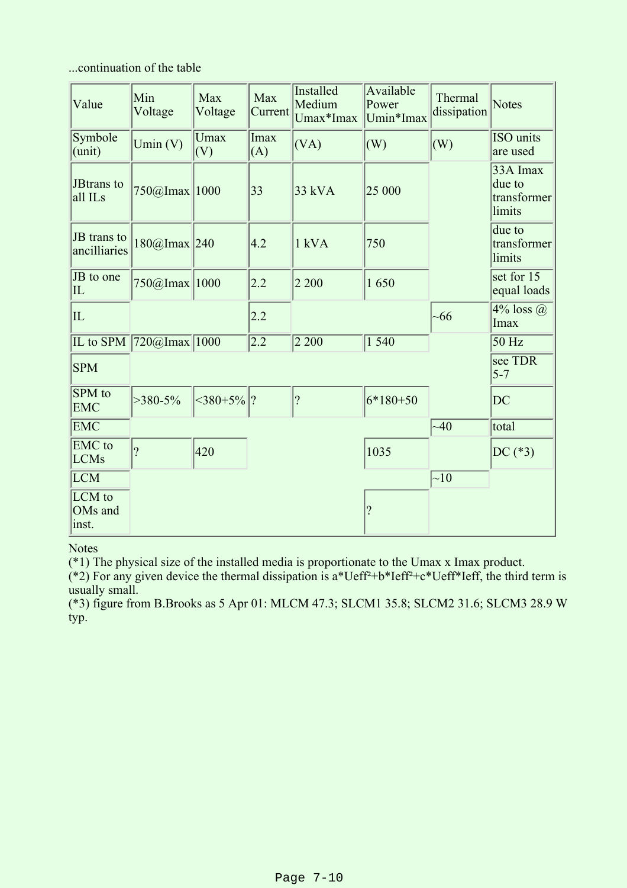...continuation of the table

| Value                                  | Min<br>Voltage                              | Max<br>Voltage     | Max<br>Current     | Installed<br>Medium<br>Umax*Imax | Available<br>Power<br>Umin*Imax | Thermal<br>dissipation | <b>Notes</b>                                |
|----------------------------------------|---------------------------------------------|--------------------|--------------------|----------------------------------|---------------------------------|------------------------|---------------------------------------------|
| Symbole<br>$l$ (unit)                  | Umin(V)                                     | <b>Umax</b><br>(V) | <b>Imax</b><br>(A) | (VA)                             | (W)                             | (W)                    | ISO units<br>are used                       |
| JBtrans to<br>all ILs                  | 750@Imax 1000                               |                    | 33                 | 33 kVA                           | 25 000                          |                        | 33A Imax<br>due to<br>transformer<br>limits |
| JB trans to<br>ancilliaries            | 180@Imax 240                                |                    | 4.2                | $1$ kVA                          | 750                             |                        | due to<br>transformer<br>limits             |
| JB to one<br>$ {\rm IL} $              | 750@Imax 1000                               |                    | 2.2                | 2 2 0 0                          | 1650                            |                        | set for 15<br>equal loads                   |
| $ {\rm IL} $                           |                                             |                    | 2.2                |                                  |                                 | ~166                   | $4\%$ loss $\omega$<br>Imax                 |
|                                        | IL to SPM $\boxed{720@$ Imax $\boxed{1000}$ |                    | 2.2                | 2 2 0 0                          | 1540                            |                        | 50 Hz                                       |
| <b>SPM</b>                             |                                             |                    |                    |                                  |                                 |                        | see TDR<br>$5 - 7$                          |
| SPM to<br><b>EMC</b>                   | $>380-5\%$                                  | $ 380+5\% $ ?      |                    | $\overline{?}$                   | $6*180+50$                      |                        | <b>DC</b>                                   |
| <b>EMC</b>                             |                                             |                    |                    |                                  |                                 | ~140                   | total                                       |
| <b>EMC</b> to<br><b>LCMs</b>           | $\gamma$                                    | 420                |                    |                                  | 1035                            |                        | $DC(*3)$                                    |
| LCM                                    |                                             |                    |                    |                                  |                                 | $\sim10$               |                                             |
| LCM to<br>OM <sub>s</sub> and<br>inst. |                                             |                    |                    |                                  | $\overline{?}$                  |                        |                                             |

**Notes** 

(\*1) The physical size of the installed media is proportionate to the Umax x Imax product.

(\*2) For any given device the thermal dissipation is  $a^*Ueff^2 + b^*Ieff^2 + c^*Ueff^*Ieff$ , the third term is usually small.

(\*3) figure from B.Brooks as 5 Apr 01: MLCM 47.3; SLCM1 35.8; SLCM2 31.6; SLCM3 28.9 W typ.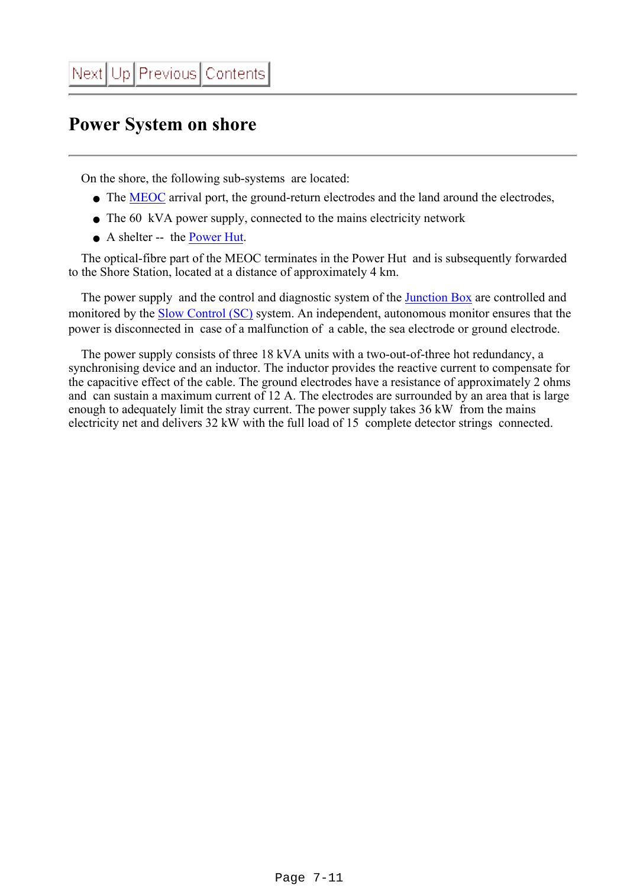### <span id="page-10-0"></span>**Power System on shore**

On the shore, the following sub-systems are located:

- The [MEOC](#page-11-0) arrival port, the ground-return electrodes and the land around the electrodes,
- The 60 kVA power supply, connected to the mains electricity network
- A shelter -- the [Power Hut.](#page-2-0)

 The optical-fibre part of the MEOC terminates in the Power Hut and is subsequently forwarded to the Shore Station, located at a distance of approximately 4 km.

The power supply and the control and diagnostic system of the [Junction Box](#page-13-0) are controlled and monitored by the [Slow Control \(SC\)](file:///Z|/TDR/Dejong/Controlsystem.html) system. An independent, autonomous monitor ensures that the power is disconnected in case of a malfunction of a cable, the sea electrode or ground electrode.

 The power supply consists of three 18 kVA units with a two-out-of-three hot redundancy, a synchronising device and an inductor. The inductor provides the reactive current to compensate for the capacitive effect of the cable. The ground electrodes have a resistance of approximately 2 ohms and can sustain a maximum current of 12 A. The electrodes are surrounded by an area that is large enough to adequately limit the stray current. The power supply takes 36 kW from the mains electricity net and delivers 32 kW with the full load of 15 complete detector strings connected.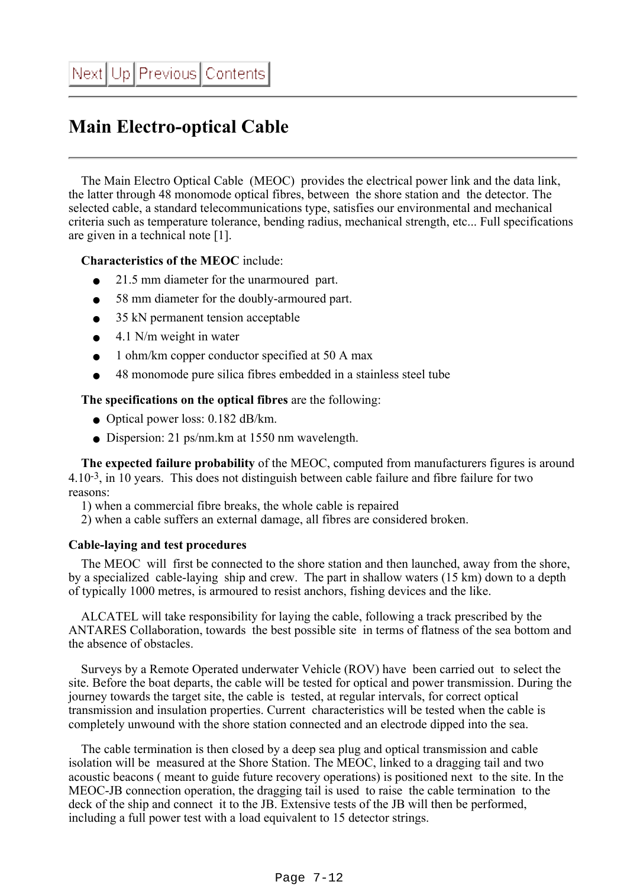# <span id="page-11-0"></span>**Main Electro-optical Cable**

 The Main Electro Optical Cable (MEOC) provides the electrical power link and the data link, the latter through 48 monomode optical fibres, between the shore station and the detector. The selected cable, a standard telecommunications type, satisfies our environmental and mechanical criteria such as temperature tolerance, bending radius, mechanical strength, etc... Full specifications are given in a technical note [1].

#### **Characteristics of the MEOC** include:

- 21.5 mm diameter for the unarmoured part.
- 58 mm diameter for the doubly-armoured part.
- 35 kN permanent tension acceptable
- $\bullet$  4.1 N/m weight in water
- 1 ohm/km copper conductor specified at 50 A max
- 48 monomode pure silica fibres embedded in a stainless steel tube

**The specifications on the optical fibres** are the following:

- Optical power loss: 0.182 dB/km.
- Dispersion: 21 ps/nm.km at 1550 nm wavelength.

 **The expected failure probability** of the MEOC, computed from manufacturers figures is around 4.10-3, in 10 years. This does not distinguish between cable failure and fibre failure for two reasons:

1) when a commercial fibre breaks, the whole cable is repaired

2) when a cable suffers an external damage, all fibres are considered broken.

#### **Cable-laying and test procedures**

 The MEOC will first be connected to the shore station and then launched, away from the shore, by a specialized cable-laying ship and crew. The part in shallow waters (15 km) down to a depth of typically 1000 metres, is armoured to resist anchors, fishing devices and the like.

 ALCATEL will take responsibility for laying the cable, following a track prescribed by the ANTARES Collaboration, towards the best possible site in terms of flatness of the sea bottom and the absence of obstacles.

 Surveys by a Remote Operated underwater Vehicle (ROV) have been carried out to select the site. Before the boat departs, the cable will be tested for optical and power transmission. During the journey towards the target site, the cable is tested, at regular intervals, for correct optical transmission and insulation properties. Current characteristics will be tested when the cable is completely unwound with the shore station connected and an electrode dipped into the sea.

 The cable termination is then closed by a deep sea plug and optical transmission and cable isolation will be measured at the Shore Station. The MEOC, linked to a dragging tail and two acoustic beacons ( meant to guide future recovery operations) is positioned next to the site. In the MEOC-JB connection operation, the dragging tail is used to raise the cable termination to the deck of the ship and connect it to the JB. Extensive tests of the JB will then be performed, including a full power test with a load equivalent to 15 detector strings.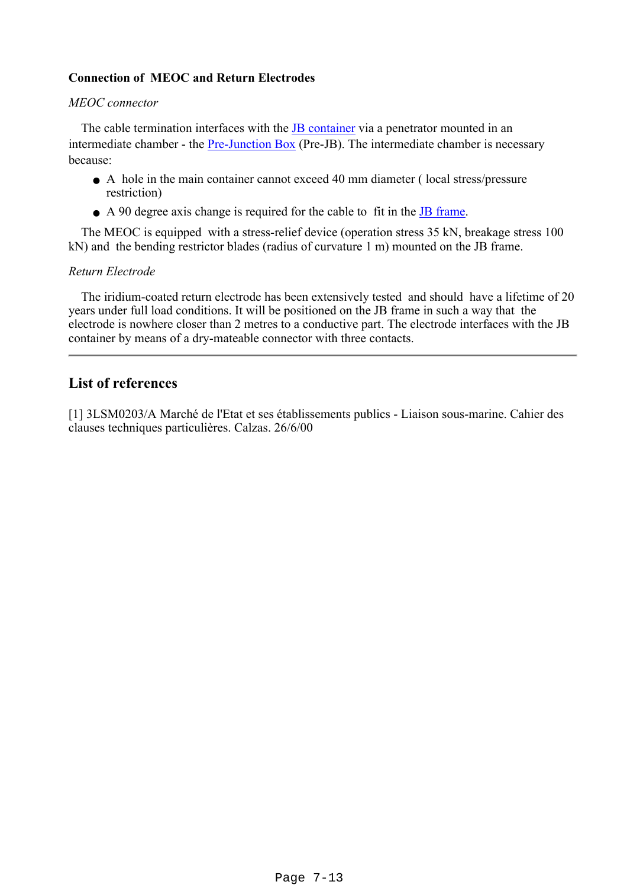#### **Connection of MEOC and Return Electrodes**

#### *MEOC connector*

The cable termination interfaces with the [JB container](file:///Z|/TDR/Anghinolfi/JB_container.htm) via a penetrator mounted in an intermediate chamber - the [Pre-Junction Box](file:///Z|/TDR/Anghinolfi/JB_container.htm) (Pre-JB). The intermediate chamber is necessary because:

- A hole in the main container cannot exceed 40 mm diameter (local stress/pressure restriction)
- A 90 degree axis change is required for the cable to fit in the [JB frame.](file:///Z|/TDR/Anghinolfi/JB_frame.html)

 The MEOC is equipped with a stress-relief device (operation stress 35 kN, breakage stress 100 kN) and the bending restrictor blades (radius of curvature 1 m) mounted on the JB frame.

#### *Return Electrode*

 The iridium-coated return electrode has been extensively tested and should have a lifetime of 20 years under full load conditions. It will be positioned on the JB frame in such a way that the electrode is nowhere closer than 2 metres to a conductive part. The electrode interfaces with the JB container by means of a dry-mateable connector with three contacts.

### **List of references**

[1] 3LSM0203/A Marché de l'Etat et ses établissements publics - Liaison sous-marine. Cahier des clauses techniques particulières. Calzas. 26/6/00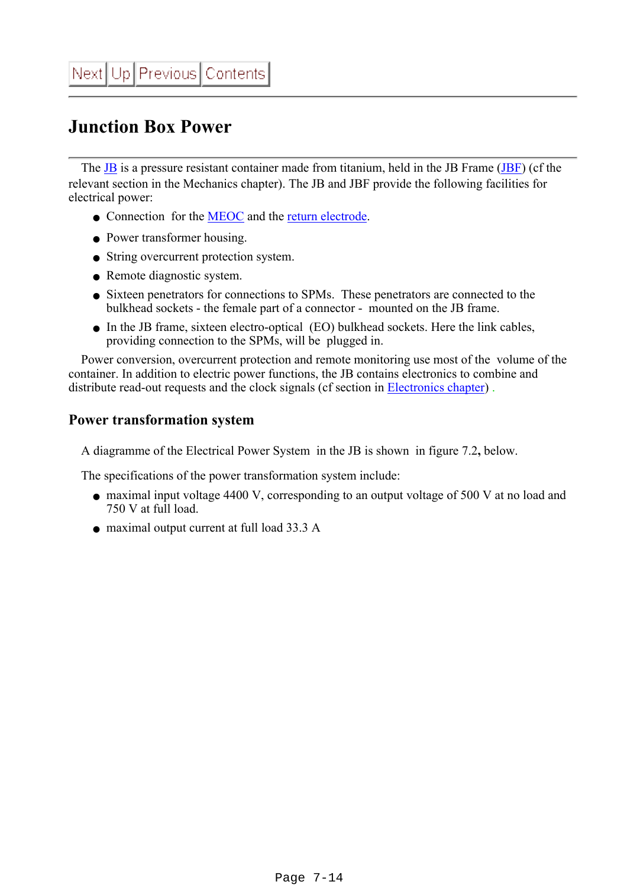# <span id="page-13-0"></span>**Junction Box Power**

The **[JB](file:///Z|/TDR/Anghinolfi/JB_TDR.html)** is a pressure resistant container made from titanium, held in the JB Frame (**JBF**) (cf the relevant section in the Mechanics chapter). The JB and JBF provide the following facilities for electrical power:

- Connection for the [MEOC](#page-11-0) and the [return electrode](#page-11-0).
- Power transformer housing.
- String overcurrent protection system.
- Remote diagnostic system.
- Sixteen penetrators for connections to SPMs. These penetrators are connected to the bulkhead sockets - the female part of a connector - mounted on the JB frame.
- In the JB frame, sixteen electro-optical (EO) bulkhead sockets. Here the link cables, providing connection to the SPMs, will be plugged in.

 Power conversion, overcurrent protection and remote monitoring use most of the volume of the container. In addition to electric power functions, the JB contains electronics to combine and distribute read-out requests and the clock signals (cf section in [Electronics chapter\)](file:///Z|/TDR/Olivetto/power_distribution.html).

### **Power transformation system**

A diagramme of the Electrical Power System in the JB is shown in figure 7.2**,** below.

The specifications of the power transformation system include:

- maximal input voltage 4400 V, corresponding to an output voltage of 500 V at no load and 750 V at full load.
- maximal output current at full load 33.3 A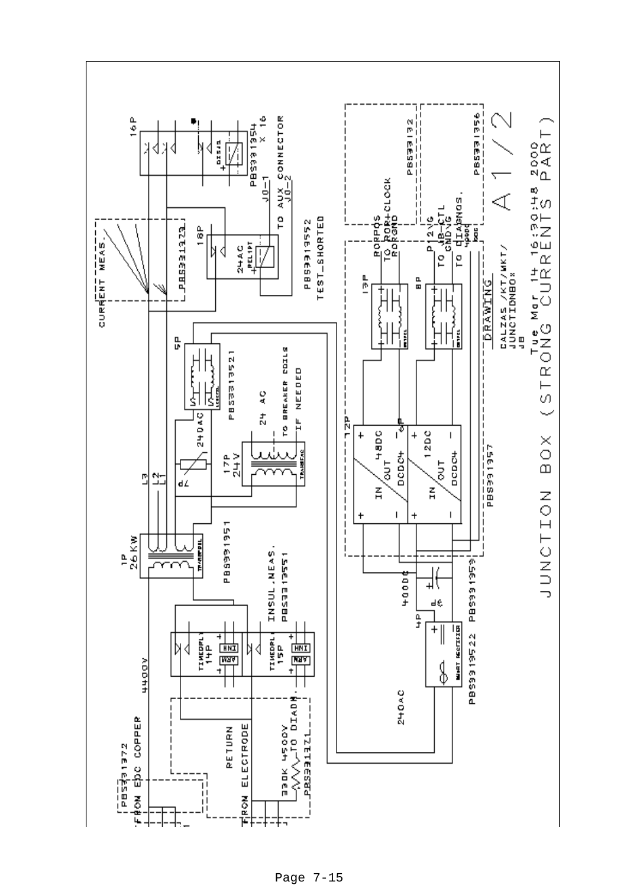

Page 7-15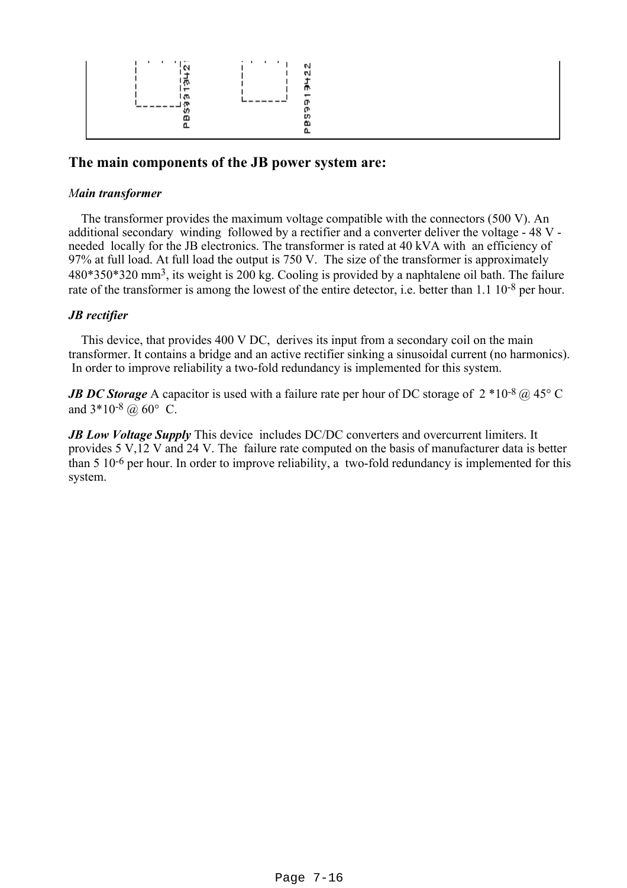

#### **The main components of the JB power system are:**

#### *Main transformer*

 The transformer provides the maximum voltage compatible with the connectors (500 V). An additional secondary winding followed by a rectifier and a converter deliver the voltage - 48 V needed locally for the JB electronics. The transformer is rated at 40 kVA with an efficiency of 97% at full load. At full load the output is 750 V. The size of the transformer is approximately 480\*350\*320 mm3, its weight is 200 kg. Cooling is provided by a naphtalene oil bath. The failure rate of the transformer is among the lowest of the entire detector, i.e. better than 1.1 10-8 per hour.

#### *JB rectifier*

 This device, that provides 400 V DC, derives its input from a secondary coil on the main transformer. It contains a bridge and an active rectifier sinking a sinusoidal current (no harmonics). In order to improve reliability a two-fold redundancy is implemented for this system.

*JB DC Storage* A capacitor is used with a failure rate per hour of DC storage of  $2 * 10^{-8}$  @ 45° C and  $3*10-8$  @ 60° C.

*JB Low Voltage Supply* This device includes DC/DC converters and overcurrent limiters. It provides 5 V,12 V and 24 V. The failure rate computed on the basis of manufacturer data is better than 5 10-6 per hour. In order to improve reliability, a two-fold redundancy is implemented for this system.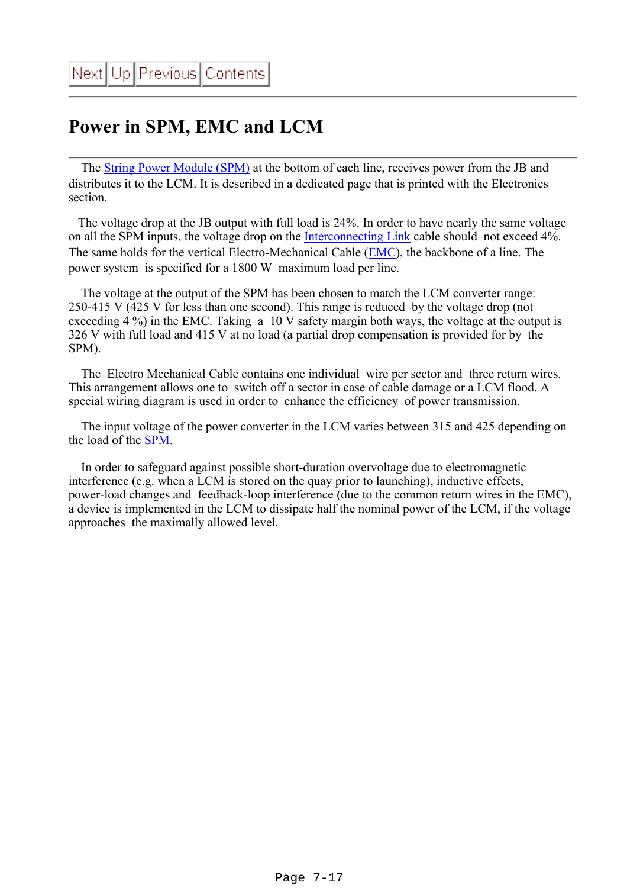# <span id="page-16-0"></span>**Power in SPM, EMC and LCM**

 The [String Power Module \(SPM\)](file:///Z|/TDR/Olivetto/SPMobjects.html) at the bottom of each line, receives power from the JB and distributes it to the LCM. It is described in a dedicated page that is printed with the Electronics section.

 The voltage drop at the JB output with full load is 24%. In order to have nearly the same voltage on all the SPM inputs, the voltage drop on the [Interconnecting Link](file:///Z|/TDR/Mechanics/Interconnectinglink.html) cable should not exceed 4%. The same holds for the vertical Electro-Mechanical Cable ([EMC\)](file:///Z|/TDR/Mechanics/EMC.html), the backbone of a line. The power system is specified for a 1800 W maximum load per line.

 The voltage at the output of the SPM has been chosen to match the LCM converter range: 250-415 V (425 V for less than one second). This range is reduced by the voltage drop (not exceeding 4 %) in the EMC. Taking a 10 V safety margin both ways, the voltage at the output is 326 V with full load and 415 V at no load (a partial drop compensation is provided for by the SPM).

 The Electro Mechanical Cable contains one individual wire per sector and three return wires. This arrangement allows one to switch off a sector in case of cable damage or a LCM flood. A special wiring diagram is used in order to enhance the efficiency of power transmission.

 The input voltage of the power converter in the LCM varies between 315 and 425 depending on the load of the [SPM.](file:///Z|/TDR/Olivetto/SPMobjects.html)

 In order to safeguard against possible short-duration overvoltage due to electromagnetic interference (e.g. when a LCM is stored on the quay prior to launching), inductive effects, power-load changes and feedback-loop interference (due to the common return wires in the EMC), a device is implemented in the LCM to dissipate half the nominal power of the LCM, if the voltage approaches the maximally allowed level.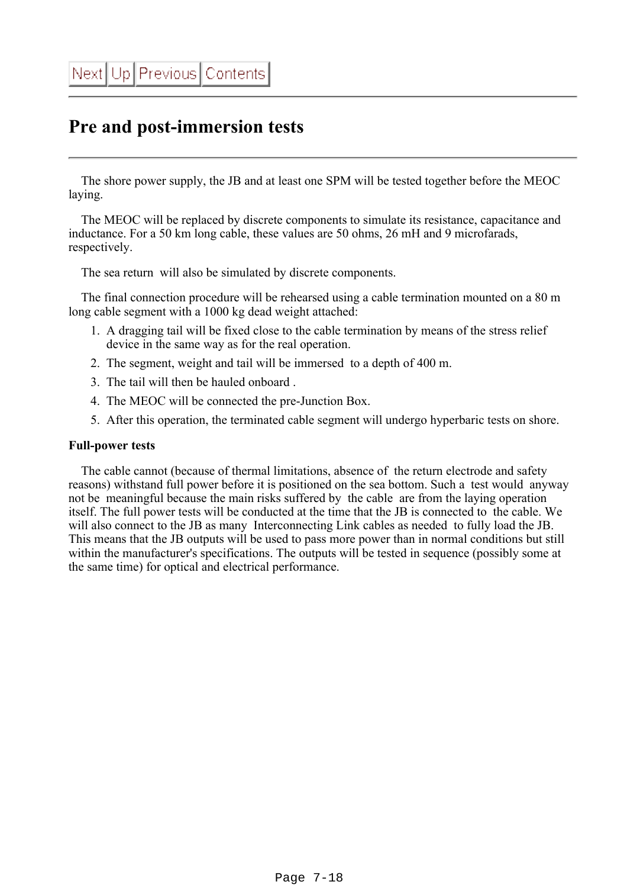## <span id="page-17-0"></span>**Pre and post-immersion tests**

 The shore power supply, the JB and at least one SPM will be tested together before the MEOC laying.

 The MEOC will be replaced by discrete components to simulate its resistance, capacitance and inductance. For a 50 km long cable, these values are 50 ohms, 26 mH and 9 microfarads, respectively.

The sea return will also be simulated by discrete components.

 The final connection procedure will be rehearsed using a cable termination mounted on a 80 m long cable segment with a 1000 kg dead weight attached:

- A dragging tail will be fixed close to the cable termination by means of the stress relief 1. device in the same way as for the real operation.
- 2. The segment, weight and tail will be immersed to a depth of 400 m.
- 3. The tail will then be hauled onboard .
- 4. The MEOC will be connected the pre-Junction Box.
- 5. After this operation, the terminated cable segment will undergo hyperbaric tests on shore.

#### **Full-power tests**

 The cable cannot (because of thermal limitations, absence of the return electrode and safety reasons) withstand full power before it is positioned on the sea bottom. Such a test would anyway not be meaningful because the main risks suffered by the cable are from the laying operation itself. The full power tests will be conducted at the time that the JB is connected to the cable. We will also connect to the JB as many Interconnecting Link cables as needed to fully load the JB. This means that the JB outputs will be used to pass more power than in normal conditions but still within the manufacturer's specifications. The outputs will be tested in sequence (possibly some at the same time) for optical and electrical performance.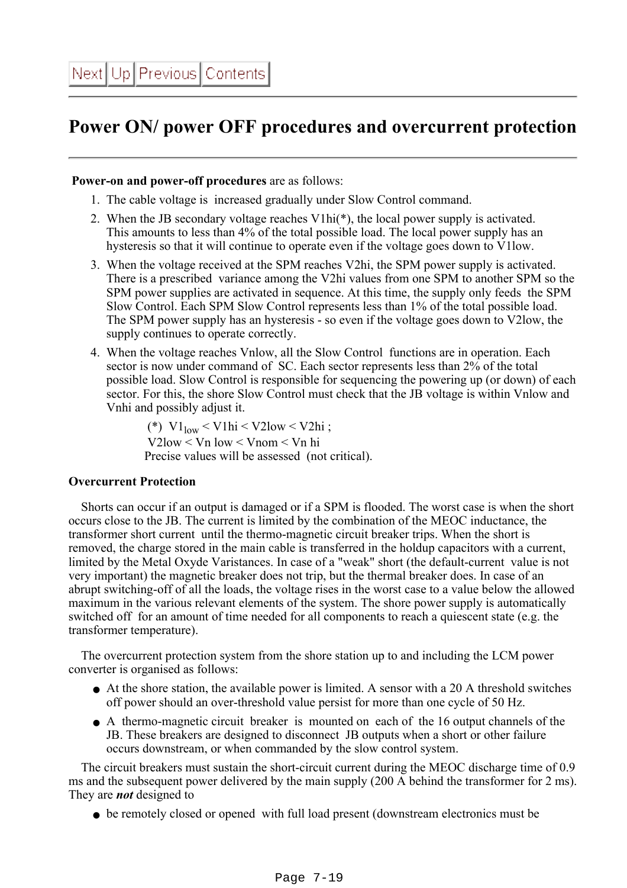### <span id="page-18-0"></span>**Power ON/ power OFF procedures and overcurrent protection**

#### **Power-on and power-off procedures** are as follows:

- 1. The cable voltage is increased gradually under Slow Control command.
- 2. When the JB secondary voltage reaches V1hi(\*), the local power supply is activated. This amounts to less than 4% of the total possible load. The local power supply has an hysteresis so that it will continue to operate even if the voltage goes down to V1low.
- When the voltage received at the SPM reaches V2hi, the SPM power supply is activated. 3. There is a prescribed variance among the V2hi values from one SPM to another SPM so the SPM power supplies are activated in sequence. At this time, the supply only feeds the SPM Slow Control. Each SPM Slow Control represents less than 1% of the total possible load. The SPM power supply has an hysteresis - so even if the voltage goes down to V2low, the supply continues to operate correctly.
- When the voltage reaches Vnlow, all the Slow Control functions are in operation. Each 4. sector is now under command of SC. Each sector represents less than 2% of the total possible load. Slow Control is responsible for sequencing the powering up (or down) of each sector. For this, the shore Slow Control must check that the JB voltage is within Vnlow and Vnhi and possibly adjust it.

(\*)  $V1_{low}$  < V1hi < V2low < V2hi ; V2low < Vn low < Vnom < Vn hi Precise values will be assessed (not critical).

#### **Overcurrent Protection**

 Shorts can occur if an output is damaged or if a SPM is flooded. The worst case is when the short occurs close to the JB. The current is limited by the combination of the MEOC inductance, the transformer short current until the thermo-magnetic circuit breaker trips. When the short is removed, the charge stored in the main cable is transferred in the holdup capacitors with a current, limited by the Metal Oxyde Varistances. In case of a "weak" short (the default-current value is not very important) the magnetic breaker does not trip, but the thermal breaker does. In case of an abrupt switching-off of all the loads, the voltage rises in the worst case to a value below the allowed maximum in the various relevant elements of the system. The shore power supply is automatically switched off for an amount of time needed for all components to reach a quiescent state (e.g. the transformer temperature).

 The overcurrent protection system from the shore station up to and including the LCM power converter is organised as follows:

- At the shore station, the available power is limited. A sensor with a 20 A threshold switches off power should an over-threshold value persist for more than one cycle of 50 Hz.
- A thermo-magnetic circuit breaker is mounted on each of the 16 output channels of the JB. These breakers are designed to disconnect JB outputs when a short or other failure occurs downstream, or when commanded by the slow control system.

 The circuit breakers must sustain the short-circuit current during the MEOC discharge time of 0.9 ms and the subsequent power delivered by the main supply (200 A behind the transformer for 2 ms). They are *not* designed to

• be remotely closed or opened with full load present (downstream electronics must be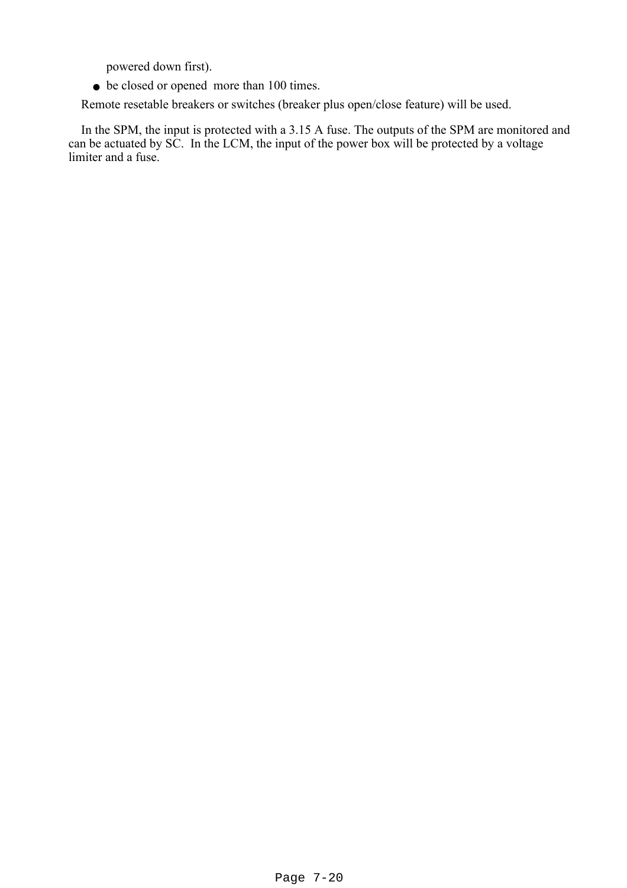powered down first).

• be closed or opened more than 100 times.

Remote resetable breakers or switches (breaker plus open/close feature) will be used.

In the SPM, the input is protected with a 3.15 A fuse. The outputs of the SPM are monitored and can be actuated by SC. In the LCM, the input of the power box will be protected by a voltage limiter and a fuse.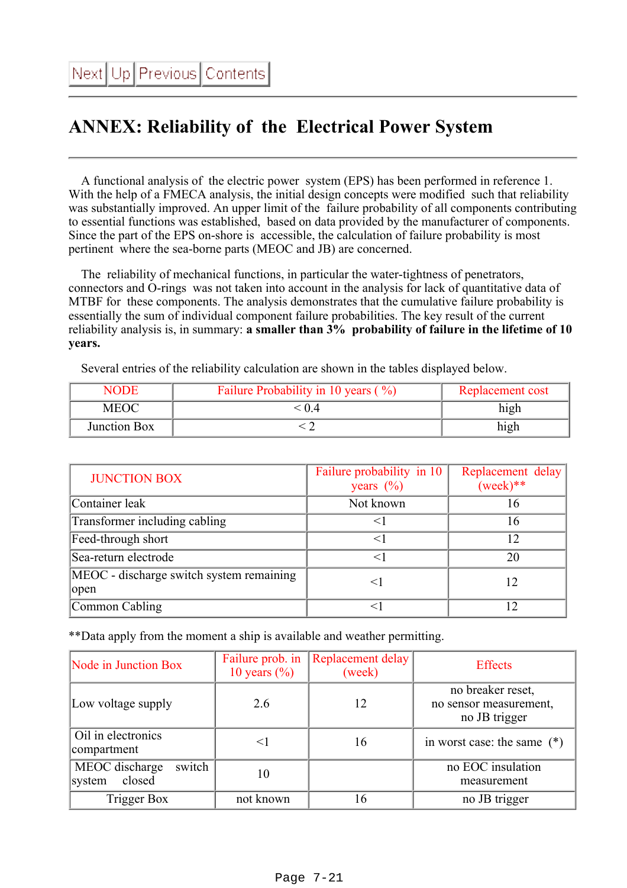# <span id="page-20-0"></span>**ANNEX: Reliability of the Electrical Power System**

 A functional analysis of the electric power system (EPS) has been performed in reference 1. With the help of a FMECA analysis, the initial design concepts were modified such that reliability was substantially improved. An upper limit of the failure probability of all components contributing to essential functions was established, based on data provided by the manufacturer of components. Since the part of the EPS on-shore is accessible, the calculation of failure probability is most pertinent where the sea-borne parts (MEOC and JB) are concerned.

 The reliability of mechanical functions, in particular the water-tightness of penetrators, connectors and O-rings was not taken into account in the analysis for lack of quantitative data of MTBF for these components. The analysis demonstrates that the cumulative failure probability is essentially the sum of individual component failure probabilities. The key result of the current reliability analysis is, in summary: **a smaller than 3% probability of failure in the lifetime of 10 years.**

Several entries of the reliability calculation are shown in the tables displayed below.

| NODE         | Failure Probability in 10 years $(\% )$ | Replacement cost |
|--------------|-----------------------------------------|------------------|
| MEOC         | 04                                      | hıgh             |
| Junction Box |                                         | high             |

| <b>JUNCTION BOX</b>                              | Failure probability in 10<br>years $(\% )$ | Replacement delay<br>$(week)$ ** |
|--------------------------------------------------|--------------------------------------------|----------------------------------|
| Container leak                                   | Not known                                  | 16                               |
| Transformer including cabling                    |                                            | 16                               |
| Feed-through short                               | $<$ 1                                      | 12                               |
| Sea-return electrode                             |                                            | 20                               |
| MEOC - discharge switch system remaining<br>open | $<$ 1                                      | 12                               |
| Common Cabling                                   |                                            |                                  |

\*\*Data apply from the moment a ship is available and weather permitting.

| Node in Junction Box                         | Failure prob. in<br>10 years $(\% )$ | Replacement delay<br>(week) | <b>Effects</b>                                               |
|----------------------------------------------|--------------------------------------|-----------------------------|--------------------------------------------------------------|
| Low voltage supply                           | 2.6                                  | 12                          | no breaker reset,<br>no sensor measurement,<br>no JB trigger |
| Oil in electronics<br>compartment            | $\leq$ ]                             | 16                          | in worst case: the same $(*)$                                |
| MEOC discharge<br>switch<br>closed<br>system | 10                                   |                             | no EOC insulation<br>measurement                             |
| Trigger Box                                  | not known                            | 16                          | no JB trigger                                                |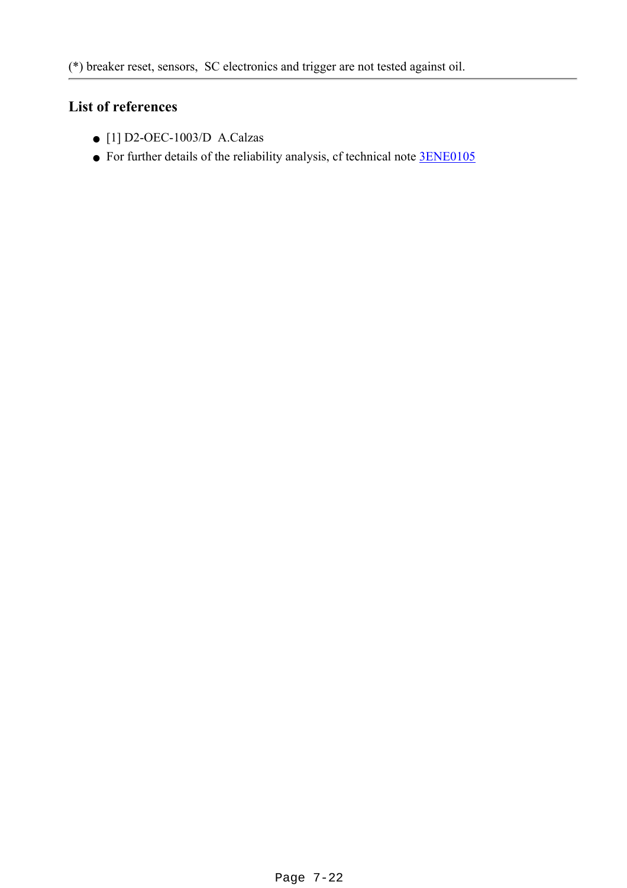### **List of references**

- [1] D2-OEC-1003/D A.Calzas
- For further details of the reliability analysis, cf technical note **[3ENE0105](file:///Z|/TDR/documents/3ENE_01_05A.pdf)**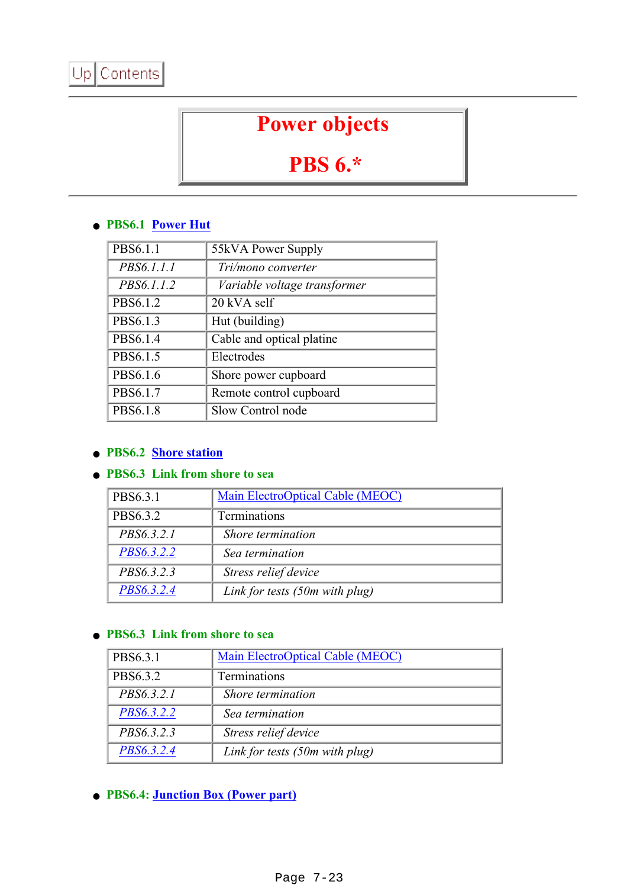# **Power objects**

# **PBS 6.\***

#### <span id="page-22-0"></span>**PBS6.1 [Power Hut](#page-2-0)** ●

| PBS6.1.1   | 55kVA Power Supply           |
|------------|------------------------------|
| PBS6.1.1.1 | Tri/mono converter           |
| PBS6.1.1.2 | Variable voltage transformer |
| PBS6.1.2   | 20 kVA self                  |
| PBS6.1.3   | Hut (building)               |
| PBS6.1.4   | Cable and optical platine    |
| PBS6.1.5   | Electrodes                   |
| PBS6.1.6   | Shore power cupboard         |
| PBS6.1.7   | Remote control cupboard      |
| PBS6.1.8   | Slow Control node            |

### ● **PBS6.2 [Shore station](#page-2-0)**

#### **• PBS6.3** Link from shore to sea

| PBS6.3.1          | Main ElectroOptical Cable (MEOC) |
|-------------------|----------------------------------|
| PBS6.3.2          | Terminations                     |
| PBS6.3.2.1        | Shore termination                |
| <i>PBS6.3.2.2</i> | Sea termination                  |
| PBS6.3.2.3        | Stress relief device             |
| PBS6.3.2.4        | Link for tests (50m with plug)   |

#### **• PBS6.3** Link from shore to sea

| PBS6.3.1   | <b>Main ElectroOptical Cable (MEOC)</b> |
|------------|-----------------------------------------|
| PBS6.3.2   | Terminations                            |
| PBS6.3.2.1 | Shore termination                       |
| PBS6.3.2.2 | Sea termination                         |
| PBS6.3.2.3 | Stress relief device                    |
| PBS6.3.2.4 | Link for tests $(50m$ with plug)        |

● **PBS6.4: [Junction Box \(Power part\)](#page-13-0)**